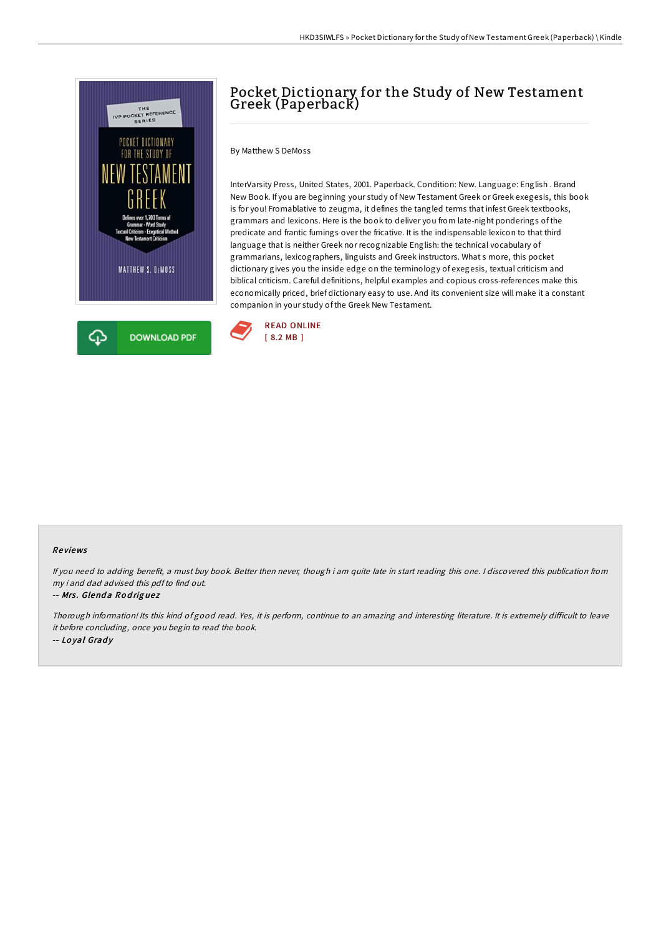

# Pocket Dictionary for the Study of New Testament Greek (Paperback)

By Matthew S DeMoss

InterVarsity Press, United States, 2001. Paperback. Condition: New. Language: English . Brand New Book. If you are beginning your study of New Testament Greek or Greek exegesis, this book is for you! Fromablative to zeugma, it defines the tangled terms that infest Greek textbooks, grammars and lexicons. Here is the book to deliver you from late-night ponderings of the predicate and frantic fumings over the fricative. It is the indispensable lexicon to that third language that is neither Greek nor recognizable English: the technical vocabulary of grammarians, lexicographers, linguists and Greek instructors. What s more, this pocket dictionary gives you the inside edge on the terminology of exegesis, textual criticism and biblical criticism. Careful definitions, helpful examples and copious cross-references make this economically priced, brief dictionary easy to use. And its convenient size will make it a constant companion in your study of the Greek New Testament.



### Re views

If you need to adding benefit, <sup>a</sup> must buy book. Better then never, though i am quite late in start reading this one. <sup>I</sup> discovered this publication from my i and dad advised this pdfto find out.

#### -- Mrs. Glenda Rodriguez

Thorough information! Its this kind of good read. Yes, it is perform, continue to an amazing and interesting literature. It is extremely difficult to leave it before concluding, once you begin to read the book. -- Loyal Grady